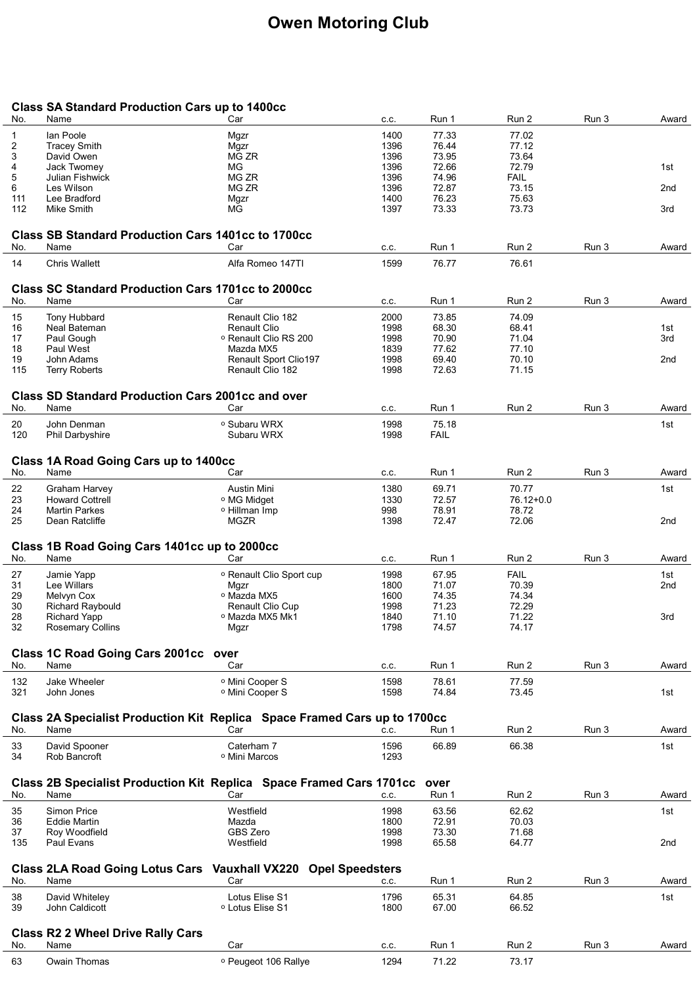## Owen Motoring Club

## Class SA Standard Production Cars up to 1400cc

| No.      | Name                                                                              | Car                                      | C.C.         | Run 1          | Run 2          | Run 3 | Award           |
|----------|-----------------------------------------------------------------------------------|------------------------------------------|--------------|----------------|----------------|-------|-----------------|
| 1        | lan Poole                                                                         | Mgzr                                     | 1400         | 77.33          | 77.02          |       |                 |
| 2        | <b>Tracey Smith</b>                                                               | Mgzr                                     | 1396         | 76.44          | 77.12          |       |                 |
| 3        | David Owen                                                                        | MG ZR                                    | 1396         | 73.95          | 73.64          |       |                 |
|          |                                                                                   |                                          |              | 72.66          | 72.79          |       |                 |
| 4        | Jack Twomey                                                                       | ΜG                                       | 1396         |                |                |       | 1st             |
| 5        | Julian Fishwick                                                                   | MG ZR                                    | 1396         | 74.96          | <b>FAIL</b>    |       |                 |
| 6        | Les Wilson                                                                        | MG ZR                                    | 1396         | 72.87          | 73.15          |       | 2nd             |
| 111      | Lee Bradford                                                                      | Mgzr                                     | 1400         | 76.23          | 75.63          |       |                 |
| 112      | Mike Smith                                                                        | <b>MG</b>                                | 1397         | 73.33          | 73.73          |       | 3rd             |
|          |                                                                                   |                                          |              |                |                |       |                 |
|          | <b>Class SB Standard Production Cars 1401cc to 1700cc</b>                         |                                          |              |                |                |       |                 |
| No.      | Name                                                                              | Car                                      | C.C.         | Run 1          | Run 2          | Run 3 | Award           |
| 14       | <b>Chris Wallett</b>                                                              | Alfa Romeo 147TI                         | 1599         | 76.77          | 76.61          |       |                 |
|          |                                                                                   |                                          |              |                |                |       |                 |
| No.      | <b>Class SC Standard Production Cars 1701cc to 2000cc</b><br>Name                 | Car                                      | C.C.         | Run 1          | Run 2          | Run 3 | Award           |
|          |                                                                                   |                                          |              |                |                |       |                 |
| 15       | Tony Hubbard                                                                      | Renault Clio 182                         | 2000         | 73.85          | 74.09          |       |                 |
| 16       | Neal Bateman                                                                      | <b>Renault Clio</b>                      | 1998         | 68.30          | 68.41          |       | 1st             |
| 17       | Paul Gough                                                                        | <sup>o</sup> Renault Clio RS 200         | 1998         | 70.90          | 71.04          |       | 3rd             |
| 18       | Paul West                                                                         | Mazda MX5                                | 1839         | 77.62          | 77.10          |       |                 |
| 19       | John Adams                                                                        | Renault Sport Clio197                    | 1998         | 69.40          | 70.10          |       | 2 <sub>nd</sub> |
| 115      | <b>Terry Roberts</b>                                                              | Renault Clio 182                         | 1998         | 72.63          | 71.15          |       |                 |
|          |                                                                                   |                                          |              |                |                |       |                 |
|          | <b>Class SD Standard Production Cars 2001cc and over</b>                          |                                          |              |                |                |       |                 |
| No.      | Name                                                                              | Car                                      | C.C.         | Run 1          | Run 2          | Run 3 | Award           |
| 20       | John Denman                                                                       | <sup>o</sup> Subaru WRX                  | 1998         | 75.18          |                |       | 1st             |
| 120      | <b>Phil Darbyshire</b>                                                            | Subaru WRX                               | 1998         | <b>FAIL</b>    |                |       |                 |
|          |                                                                                   |                                          |              |                |                |       |                 |
|          | Class 1A Road Going Cars up to 1400cc                                             |                                          |              |                |                |       |                 |
| No.      | Name                                                                              | Car                                      | C.C.         | Run 1          | Run 2          | Run 3 | Award           |
|          |                                                                                   |                                          |              |                |                |       |                 |
| 22       | <b>Graham Harvey</b>                                                              | Austin Mini                              | 1380         | 69.71          | 70.77          |       | 1st             |
| 23       | <b>Howard Cottrell</b>                                                            | <sup>o</sup> MG Midget                   | 1330         | 72.57          | 76.12+0.0      |       |                 |
| 24       | <b>Martin Parkes</b>                                                              | <sup>o</sup> Hillman Imp                 | 998          | 78.91          | 78.72          |       |                 |
| 25       | Dean Ratcliffe                                                                    | MGZR                                     | 1398         | 72.47          | 72.06          |       | 2nd             |
|          |                                                                                   |                                          |              |                |                |       |                 |
|          |                                                                                   |                                          |              |                |                |       |                 |
|          | Class 1B Road Going Cars 1401cc up to 2000cc                                      |                                          |              |                |                |       |                 |
| No.      | Name                                                                              | Car                                      | C.C.         | Run 1          | Run 2          | Run 3 | Award           |
|          |                                                                                   | <sup>o</sup> Renault Clio Sport cup      | 1998         | 67.95          | <b>FAIL</b>    |       | 1st             |
| 27       | Jamie Yapp                                                                        |                                          |              |                |                |       |                 |
| 31       | Lee Willars                                                                       | Mgzr                                     | 1800         | 71.07          | 70.39          |       | 2nd             |
| 29       | Melvyn Cox                                                                        | <sup>o</sup> Mazda MX5                   | 1600         | 74.35          | 74.34          |       |                 |
| 30       | <b>Richard Raybould</b>                                                           | Renault Clio Cup                         | 1998         | 71.23          | 72.29          |       |                 |
| 28       | <b>Richard Yapp</b>                                                               | ∘ Mazda MX5 Mk1                          | 1840         | 71.10          | 71.22          |       | 3rd             |
| 32       | <b>Rosemary Collins</b>                                                           | Mgzr                                     | 1798         | 74.57          | 74.17          |       |                 |
|          |                                                                                   |                                          |              |                |                |       |                 |
| No.      | Class 1C Road Going Cars 2001cc over<br>Name                                      | Car                                      | C.C.         | Run 1          | Run 2          | Run 3 | Award           |
|          |                                                                                   |                                          |              |                |                |       |                 |
| 132      | Jake Wheeler                                                                      | <sup>o</sup> Mini Cooper S               | 1598         | 78.61          | 77.59          |       |                 |
| 321      | John Jones                                                                        | <sup>o</sup> Mini Cooper S               | 1598         | 74.84          | 73.45          |       | 1st             |
|          |                                                                                   |                                          |              |                |                |       |                 |
| No.      | Class 2A Specialist Production Kit Replica Space Framed Cars up to 1700cc<br>Name | Car                                      | C.C.         | Run 1          | Run 2          | Run 3 | Award           |
|          |                                                                                   |                                          |              |                |                |       |                 |
| 33       | David Spooner                                                                     | Caterham 7                               | 1596         | 66.89          | 66.38          |       | 1st             |
| 34       | Rob Bancroft                                                                      | <sup>o</sup> Mini Marcos                 | 1293         |                |                |       |                 |
|          |                                                                                   |                                          |              |                |                |       |                 |
|          | Class 2B Specialist Production Kit Replica Space Framed Cars 1701cc               |                                          |              | over           |                |       |                 |
| No.      | Name                                                                              | Car                                      | C.C.         | Run 1          | Run 2          | Run 3 | Award           |
| 35       | Simon Price                                                                       | Westfield                                | 1998         | 63.56          | 62.62          |       | 1st             |
| 36       | <b>Eddie Martin</b>                                                               | Mazda                                    | 1800         | 72.91          | 70.03          |       |                 |
| 37       | Roy Woodfield                                                                     | GBS Zero                                 | 1998         | 73.30          | 71.68          |       |                 |
| 135      | Paul Evans                                                                        | Westfield                                | 1998         | 65.58          | 64.77          |       | 2nd             |
|          |                                                                                   |                                          |              |                |                |       |                 |
|          | <b>Class 2LA Road Going Lotus Cars</b>                                            | <b>Opel Speedsters</b><br>Vauxhall VX220 |              |                |                |       |                 |
| No.      | Name                                                                              | Car                                      | C.C.         | Run 1          | Run 2          | Run 3 | Award           |
|          |                                                                                   | Lotus Elise S1                           |              |                |                |       | 1st             |
| 38<br>39 | David Whiteley<br>John Caldicott                                                  | <sup>o</sup> Lotus Elise S1              | 1796<br>1800 | 65.31<br>67.00 | 64.85<br>66.52 |       |                 |
|          |                                                                                   |                                          |              |                |                |       |                 |
|          |                                                                                   |                                          |              |                |                |       |                 |
| No.      | <b>Class R2 2 Wheel Drive Rally Cars</b><br>Name                                  | Car                                      | C.C.         | Run 1          | Run 2          | Run 3 | Award           |
| 63       | Owain Thomas                                                                      | <sup>o</sup> Peugeot 106 Rallye          | 1294         | 71.22          | 73.17          |       |                 |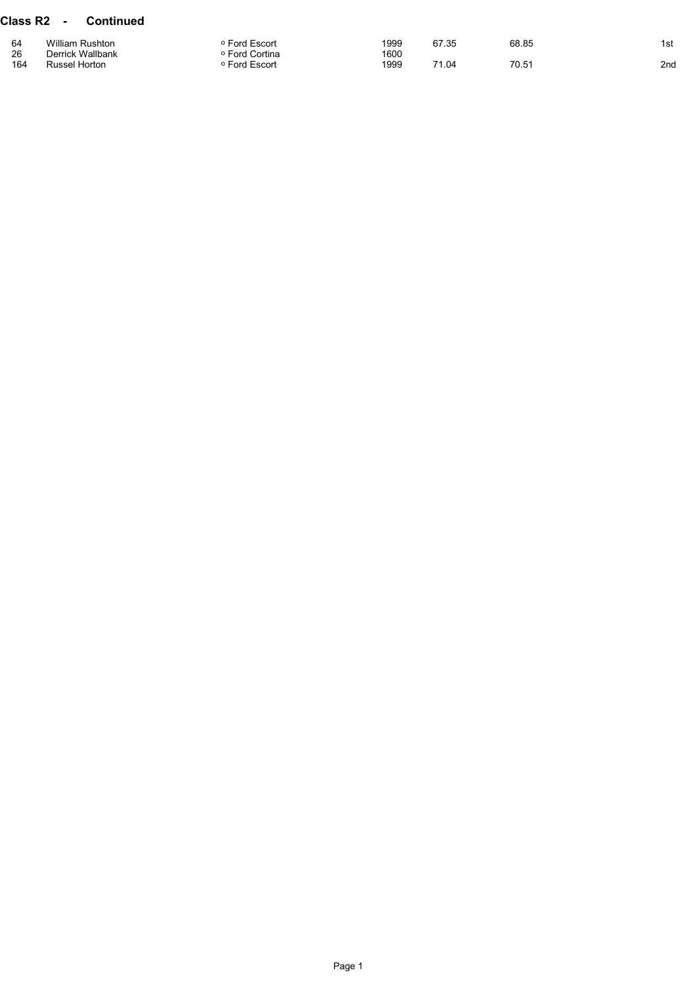## Class R2 - Continued

| 64  | <b>William Rushton</b> | Ford Escort         | 1999 | 67.35 | 68.85 | 1st |
|-----|------------------------|---------------------|------|-------|-------|-----|
| 26  | Derrick Wallbank       | <b>Ford Cortina</b> | 1600 |       |       |     |
| 164 | Russel Horton          | <b>Ford Escort</b>  | 1999 | 71.04 | 70.51 | 2nd |